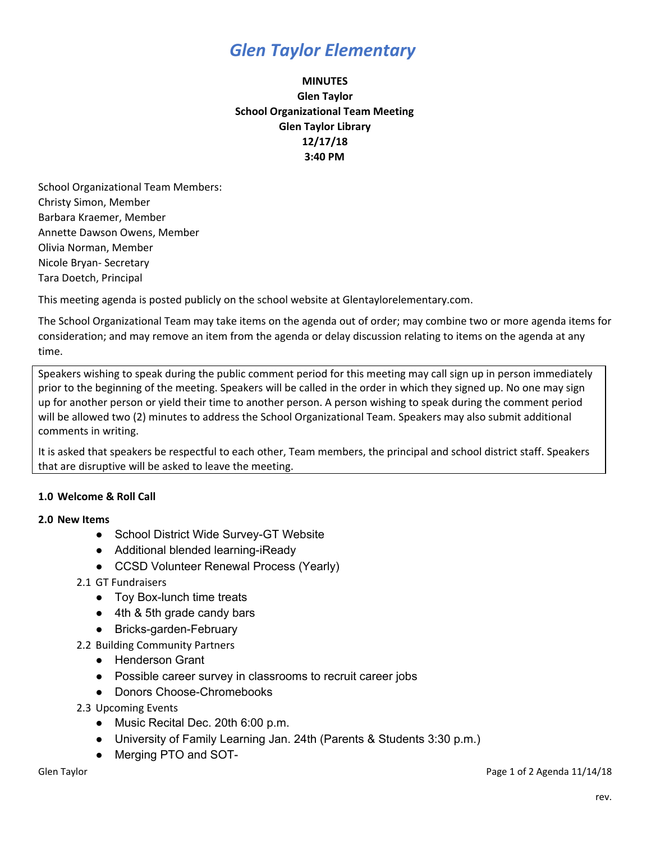## *Glen Taylor Elementary*

### **MINUTES Glen Taylor School Organizational Team Meeting Glen Taylor Library 12/17/18 3:40 PM**

School Organizational Team Members: Christy Simon, Member Barbara Kraemer, Member Annette Dawson Owens, Member Olivia Norman, Member Nicole Bryan- Secretary Tara Doetch, Principal

This meeting agenda is posted publicly on the school website at Glentaylorelementary.com.

The School Organizational Team may take items on the agenda out of order; may combine two or more agenda items for consideration; and may remove an item from the agenda or delay discussion relating to items on the agenda at any time.

Speakers wishing to speak during the public comment period for this meeting may call sign up in person immediately prior to the beginning of the meeting. Speakers will be called in the order in which they signed up. No one may sign up for another person or yield their time to another person. A person wishing to speak during the comment period will be allowed two (2) minutes to address the School Organizational Team. Speakers may also submit additional comments in writing.

It is asked that speakers be respectful to each other, Team members, the principal and school district staff. Speakers that are disruptive will be asked to leave the meeting.

### **1.0 Welcome & Roll Call**

#### **2.0 New Items**

- School District Wide Survey-GT Website
- Additional blended learning-iReady
- CCSD Volunteer Renewal Process (Yearly)
- 2.1 GT Fundraisers
	- Toy Box-lunch time treats
	- 4th & 5th grade candy bars
	- Bricks-garden-February
- 2.2 Building Community Partners
	- Henderson Grant
	- Possible career survey in classrooms to recruit career jobs
	- Donors Choose-Chromebooks
- 2.3 Upcoming Events
	- Music Recital Dec. 20th 6:00 p.m.
	- University of Family Learning Jan. 24th (Parents & Students 3:30 p.m.)
	- Merging PTO and SOT-